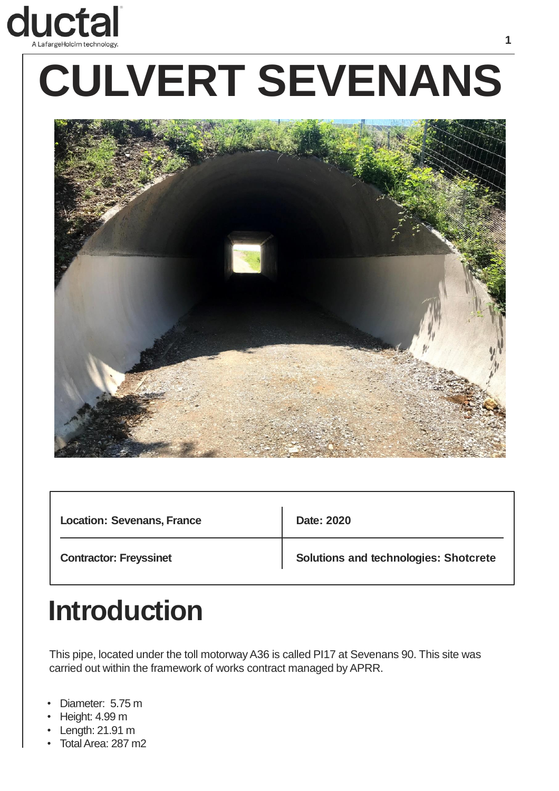

# **CULVERT SEVENANS**



| <b>Location: Sevenans, France</b> | Date: 2020                                   |
|-----------------------------------|----------------------------------------------|
| <b>Contractor: Freyssinet</b>     | <b>Solutions and technologies: Shotcrete</b> |

### **Introduction**

This pipe, located under the toll motorway A36 is called PI17 at Sevenans 90. This site was carried out within the framework of works contract managed by APRR.

- Diameter: 5.75 m
- Height: 4.99 m
- Length: 21.91 m
- Total Area: 287 m2